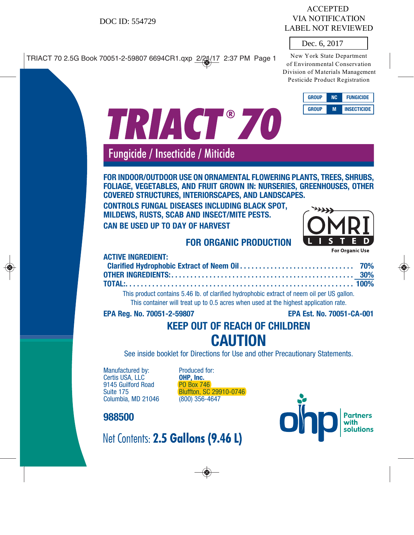# VIA NOTIFICATION LABEL NOT REVIEWED

### Dec. 6, 2017

| <b>GROUP</b> | NC. | <b>FUNGICIDE</b>   |
|--------------|-----|--------------------|
| <b>GROUP</b> |     | <b>INSECTICIDE</b> |

| DOC ID: 554729                                                                                                                                                                                                                                                                                                                                                                                    | <b>ACCEPTED</b><br><b>VIA NOTIFICATION</b><br><b>LABEL NOT REVIEWED</b><br>Dec. 6, 2017                                         |
|---------------------------------------------------------------------------------------------------------------------------------------------------------------------------------------------------------------------------------------------------------------------------------------------------------------------------------------------------------------------------------------------------|---------------------------------------------------------------------------------------------------------------------------------|
|                                                                                                                                                                                                                                                                                                                                                                                                   | New York State Department<br>of Environmental Conservation<br>Division of Materials Managemen<br>Pesticide Product Registration |
| TRIACT®70                                                                                                                                                                                                                                                                                                                                                                                         | <b>GROUP</b><br><b>NC</b><br><b>FUNGICIDE</b><br><b>GROUP</b><br><b>INSECTICIDE</b><br>M                                        |
| Fungicide / Insecticide / Miticide                                                                                                                                                                                                                                                                                                                                                                |                                                                                                                                 |
| FOR INDOOR/OUTDOOR USE ON ORNAMENTAL FLOWERING PLANTS, TREES, SHRUBS,<br>FOLIAGE, VEGETABLES, AND FRUIT GROWN IN: NURSERIES, GREENHOUSES, OTHER<br><b>COVERED STRUCTURES, INTERIORSCAPES, AND LANDSCAPES.</b><br><b>CONTROLS FUNGAL DISEASES INCLUDING BLACK SPOT,</b><br>MILDEWS, RUSTS, SCAB AND INSECT/MITE PESTS.<br><b>CAN BE USED UP TO DAY OF HARVEST</b><br><b>FOR ORGANIC PRODUCTION</b> |                                                                                                                                 |
| <b>ACTIVE INGREDIENT:</b><br>Clarified Hydrophobic Extract of Neem Oil<br><b>OTHER INGREDIENTS:.</b>                                                                                                                                                                                                                                                                                              | <b>For Organic Use</b><br>70%<br>30%                                                                                            |
| TOTAL:.<br>This product contains 5.46 lb. of clarified hydrophobic extract of neem oil per US gallon.<br>This container will treat up to 0.5 acres when used at the highest application rate.                                                                                                                                                                                                     | 100%                                                                                                                            |
| EPA Reg. No. 70051-2-59807                                                                                                                                                                                                                                                                                                                                                                        | EPA Est. No. 70051-CA-001                                                                                                       |
| <b>KEEP OUT OF REACH OF CHILDREN</b>                                                                                                                                                                                                                                                                                                                                                              |                                                                                                                                 |
|                                                                                                                                                                                                                                                                                                                                                                                                   |                                                                                                                                 |
|                                                                                                                                                                                                                                                                                                                                                                                                   |                                                                                                                                 |
| <b>CAUTION</b><br>See inside booklet for Directions for Use and other Precautionary Statements.                                                                                                                                                                                                                                                                                                   |                                                                                                                                 |

Manufactured by: Produced for: Certis USA, LLC<sup>'</sup> **OHP, Inc.**<br>9145 Guilford Road **PO Box 746** 9145 Guilford Road<br>Suite 175 Columbia, MD 21046

Bluffton, SC 29910-0746 **OHP, Inc.** 

Partners<br>with<br>solutions Oh

# **988500**



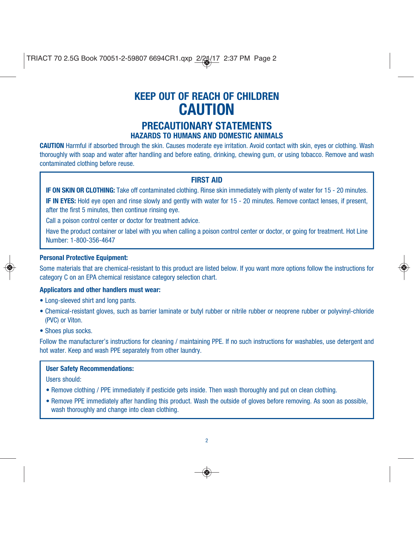# **KEEP OUT OF REACH OF CHILDREN CAUTION**

## **PRECAUTIONARY STATEMENTS HAZARDS TO HUMANS AND DOMESTIC ANIMALS**

**CAUTION** Harmful if absorbed through the skin. Causes moderate eye irritation. Avoid contact with skin, eyes or clothing. Wash thoroughly with soap and water after handling and before eating, drinking, chewing gum, or using tobacco. Remove and wash contaminated clothing before reuse.

### **FIRST AID**

**IF ON SKIN OR CLOTHING:** Take off contaminated clothing. Rinse skin immediately with plenty of water for 15 - 20 minutes.

**IF IN EYES:** Hold eye open and rinse slowly and gently with water for 15 - 20 minutes. Remove contact lenses, if present, after the first 5 minutes, then continue rinsing eye.

Call a poison control center or doctor for treatment advice.

Have the product container or label with you when calling a poison control center or doctor, or going for treatment. Hot Line Number: 1-800-356-4647

#### **Personal Protective Equipment:**

Some materials that are chemical-resistant to this product are listed below. If you want more options follow the instructions for category C on an EPA chemical resistance category selection chart.

### **Applicators and other handlers must wear:**

- Long-sleeved shirt and long pants.
- Chemical-resistant gloves, such as barrier laminate or butyl rubber or nitrile rubber or neoprene rubber or polyvinyl-chloride (PVC) or Viton.
- Shoes plus socks.

Follow the manufacturer's instructions for cleaning / maintaining PPE. If no such instructions for washables, use detergent and hot water. Keep and wash PPE separately from other laundry.

#### **User Safety Recommendations:**

Users should:

- Remove clothing / PPE immediately if pesticide gets inside. Then wash thoroughly and put on clean clothing.
- Remove PPE immediately after handling this product. Wash the outside of gloves before removing. As soon as possible, wash thoroughly and change into clean clothing.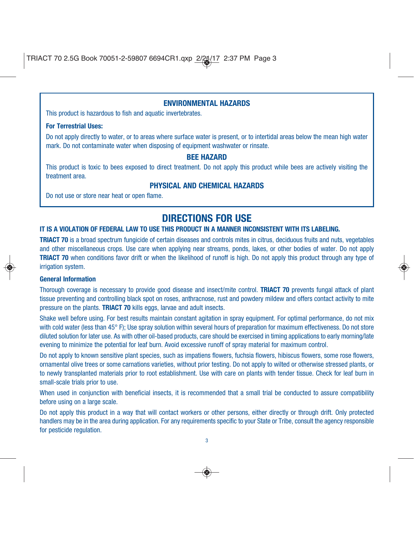### **ENVIRONMENTAL HAZARDS**

This product is hazardous to fish and aquatic invertebrates.

#### **For Terrestrial Uses:**

Do not apply directly to water, or to areas where surface water is present, or to intertidal areas below the mean high water mark. Do not contaminate water when disposing of equipment washwater or rinsate.

#### **BEE HAZARD**

This product is toxic to bees exposed to direct treatment. Do not apply this product while bees are actively visiting the treatment area.

### **PHYSICAL AND CHEMICAL HAZARDS**

Do not use or store near heat or open flame.

# **DIRECTIONS FOR USE**

#### **IT IS A VIOLATION OF FEDERAL LAW TO USE THIS PRODUCT IN A MANNER INCONSISTENT WITH ITS LABELING.**

**TRIACT 70** is a broad spectrum fungicide of certain diseases and controls mites in citrus, deciduous fruits and nuts, vegetables and other miscellaneous crops. Use care when applying near streams, ponds, lakes, or other bodies of water. Do not apply **TRIACT 70** when conditions favor drift or when the likelihood of runoff is high. Do not apply this product through any type of irrigation system.

#### **General Information**

Thorough coverage is necessary to provide good disease and insect/mite control. **TRIACT 70** prevents fungal attack of plant tissue preventing and controlling black spot on roses, anthracnose, rust and powdery mildew and offers contact activity to mite pressure on the plants. **TRIACT 70** kills eggs, larvae and adult insects.

Shake well before using. For best results maintain constant agitation in spray equipment. For optimal performance, do not mix with cold water (less than 45° F); Use spray solution within several hours of preparation for maximum effectiveness. Do not store diluted solution for later use. As with other oil-based products, care should be exercised in timing applications to early morning/late evening to minimize the potential for leaf burn. Avoid excessive runoff of spray material for maximum control.

Do not apply to known sensitive plant species, such as impatiens flowers, fuchsia flowers, hibiscus flowers, some rose flowers, ornamental olive trees or some carnations varieties, without prior testing. Do not apply to wilted or otherwise stressed plants, or to newly transplanted materials prior to root establishment. Use with care on plants with tender tissue. Check for leaf burn in small-scale trials prior to use.

When used in conjunction with beneficial insects, it is recommended that a small trial be conducted to assure compatibility before using on a large scale.

Do not apply this product in a way that will contact workers or other persons, either directly or through drift. Only protected handlers may be in the area during application. For any requirements specific to your State or Tribe, consult the agency responsible for pesticide regulation.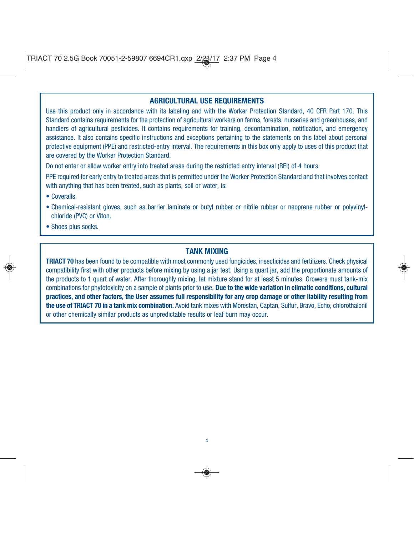### **AGRICULTURAL USE REQUIREMENTS**

Use this product only in accordance with its labeling and with the Worker Protection Standard, 40 CFR Part 170. This Standard contains requirements for the protection of agricultural workers on farms, forests, nurseries and greenhouses, and handlers of agricultural pesticides. It contains requirements for training, decontamination, notification, and emergency assistance. It also contains specific instructions and exceptions pertaining to the statements on this label about personal protective equipment (PPE) and restricted-entry interval. The requirements in this box only apply to uses of this product that are covered by the Worker Protection Standard.

Do not enter or allow worker entry into treated areas during the restricted entry interval (REI) of 4 hours.

PPE required for early entry to treated areas that is permitted under the Worker Protection Standard and that involves contact with anything that has been treated, such as plants, soil or water, is:

- Coveralls.
- Chemical-resistant gloves, such as barrier laminate or butyl rubber or nitrile rubber or neoprene rubber or polyvinylchloride (PVC) or Viton.
- Shoes plus socks.

### **TANK MIXING**

**TRIACT 70** has been found to be compatible with most commonly used fungicides, insecticides and fertilizers. Check physical compatibility first with other products before mixing by using a jar test. Using a quart jar, add the proportionate amounts of the products to 1 quart of water. After thoroughly mixing, let mixture stand for at least 5 minutes. Growers must tank-mix combinations for phytotoxicity on a sample of plants prior to use. **Due to the wide variation in climatic conditions, cultural practices, and other factors, the User assumes full responsibility for any crop damage or other liability resulting from the use of TRIACT 70 in a tank mix combination.** Avoid tank mixes with Morestan, Captan, Sulfur, Bravo, Echo, chlorothalonil or other chemically similar products as unpredictable results or leaf burn may occur.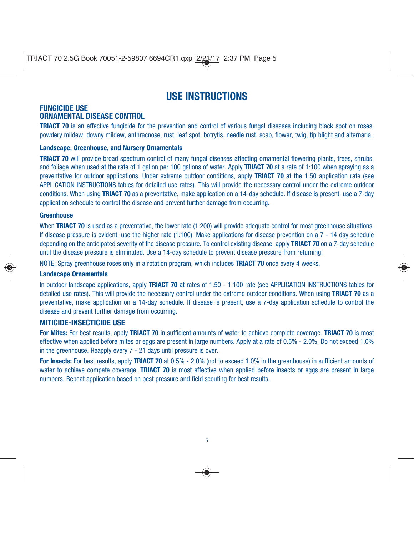# **USE INSTRUCTIONS**

#### **FUNGICIDE USE ORNAMENTAL DISEASE CONTROL**

**TRIACT 70** is an effective fungicide for the prevention and control of various fungal diseases including black spot on roses, powdery mildew, downy mildew, anthracnose, rust, leaf spot, botrytis, needle rust, scab, flower, twig, tip blight and alternaria.

#### **Landscape, Greenhouse, and Nursery Ornamentals**

**TRIACT 70** will provide broad spectrum control of many fungal diseases affecting ornamental flowering plants, trees, shrubs, and foliage when used at the rate of 1 gallon per 100 gallons of water. Apply **TRIACT 70** at a rate of 1:100 when spraying as a preventative for outdoor applications. Under extreme outdoor conditions, apply **TRIACT 70** at the 1:50 application rate (see APPLICATION INSTRUCTIONS tables for detailed use rates). This will provide the necessary control under the extreme outdoor conditions. When using **TRIACT 70** as a preventative, make application on a 14-day schedule. If disease is present, use a 7-day application schedule to control the disease and prevent further damage from occurring.

#### **Greenhouse**

When **TRIACT 70** is used as a preventative, the lower rate (1:200) will provide adequate control for most greenhouse situations. If disease pressure is evident, use the higher rate (1:100). Make applications for disease prevention on a 7 - 14 day schedule depending on the anticipated severity of the disease pressure. To control existing disease, apply **TRIACT 70** on a 7-day schedule until the disease pressure is eliminated. Use a 14-day schedule to prevent disease pressure from returning.

NOTE: Spray greenhouse roses only in a rotation program, which includes **TRIACT 70** once every 4 weeks.

#### **Landscape Ornamentals**

In outdoor landscape applications, apply **TRIACT 70** at rates of 1:50 - 1:100 rate (see APPLICATION INSTRUCTIONS tables for detailed use rates). This will provide the necessary control under the extreme outdoor conditions. When using **TRIACT 70** as a preventative, make application on a 14-day schedule. If disease is present, use a 7-day application schedule to control the disease and prevent further damage from occurring.

#### **MITICIDE-INSECTICIDE USE**

**For Mites:** For best results, apply **TRIACT 70** in sufficient amounts of water to achieve complete coverage. **TRIACT 70** is most effective when applied before mites or eggs are present in large numbers. Apply at a rate of 0.5% - 2.0%. Do not exceed 1.0% in the greenhouse. Reapply every 7 - 21 days until pressure is over.

**For Insects:** For best results, apply **TRIACT 70** at 0.5% - 2.0% (not to exceed 1.0% in the greenhouse) in sufficient amounts of water to achieve compete coverage. **TRIACT 70** is most effective when applied before insects or eggs are present in large numbers. Repeat application based on pest pressure and field scouting for best results.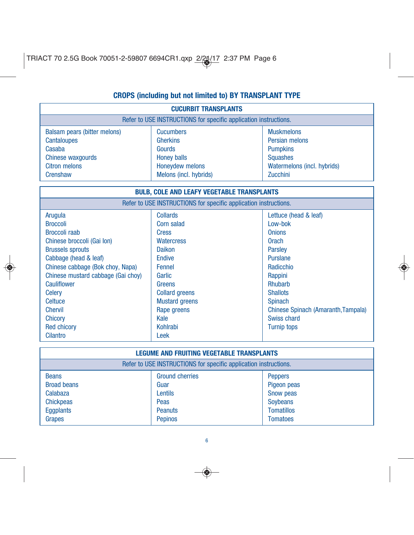# **CROPS (including but not limited to) BY TRANSPLANT TYPE**

| <b>CUCURBIT TRANSPLANTS</b>                                      |                        |                                     |  |
|------------------------------------------------------------------|------------------------|-------------------------------------|--|
| Refer to USE INSTRUCTIONS for specific application instructions. |                        |                                     |  |
| Balsam pears (bitter melons)                                     | <b>Cucumbers</b>       | <b>Muskmelons</b>                   |  |
| <b>Cantaloupes</b>                                               | <b>Gherkins</b>        | Persian melons                      |  |
| Casaba                                                           | Gourds                 | <b>Pumpkins</b>                     |  |
| Chinese waxgourds                                                | <b>Honey balls</b>     | <b>Squashes</b>                     |  |
| <b>Citron melons</b>                                             | Honeydew melons        | Watermelons (incl. hybrids)         |  |
| Crenshaw                                                         | Melons (incl. hybrids) | Zucchini                            |  |
|                                                                  |                        |                                     |  |
| <b>BULB, COLE AND LEAFY VEGETABLE TRANSPLANTS</b>                |                        |                                     |  |
| Refer to USE INSTRUCTIONS for specific application instructions. |                        |                                     |  |
| Arugula                                                          | Collards               | Lettuce (head & leaf)               |  |
| <b>Broccoli</b>                                                  | <b>Corn salad</b>      | Low-bok                             |  |
| <b>Broccoli raab</b>                                             | <b>Cress</b>           | <b>Onions</b>                       |  |
| Chinese broccoli (Gai Ion)                                       | <b>Watercress</b>      | <b>Orach</b>                        |  |
| <b>Brussels sprouts</b>                                          | <b>Daikon</b>          | <b>Parsley</b>                      |  |
| Cabbage (head & leaf)                                            | <b>Endive</b>          | <b>Purslane</b>                     |  |
| Chinese cabbage (Bok choy, Napa)                                 | <b>Fennel</b>          | Radicchio                           |  |
| Chinese mustard cabbage (Gai choy)                               | <b>Garlic</b>          | Rappini                             |  |
| Cauliflower                                                      | Greens                 | <b>Rhubarb</b>                      |  |
| Celery                                                           | <b>Collard greens</b>  | <b>Shallots</b>                     |  |
| <b>Celtuce</b>                                                   | <b>Mustard greens</b>  | <b>Spinach</b>                      |  |
| <b>Chervil</b>                                                   | Rape greens            | Chinese Spinach (Amaranth, Tampala) |  |
| <b>Chicory</b>                                                   | Kale                   | <b>Swiss chard</b>                  |  |
| <b>Red chicory</b>                                               | <b>Kohlrabi</b>        | <b>Turnip tops</b>                  |  |
| <b>Cilantro</b>                                                  | Leek                   |                                     |  |
|                                                                  |                        |                                     |  |

| <b>LEGUME AND FRUITING VEGETABLE TRANSPLANTS</b>                 |                        |                   |  |
|------------------------------------------------------------------|------------------------|-------------------|--|
| Refer to USE INSTRUCTIONS for specific application instructions. |                        |                   |  |
| <b>Beans</b>                                                     | <b>Ground cherries</b> | <b>Peppers</b>    |  |
| <b>Broad beans</b>                                               | Guar                   | Pigeon peas       |  |
| Calabaza                                                         | Lentils                | Snow peas         |  |
| <b>Chickpeas</b>                                                 | Peas                   | <b>Soybeans</b>   |  |
| Eggplants                                                        | <b>Peanuts</b>         | <b>Tomatillos</b> |  |
| Grapes                                                           | <b>Pepinos</b>         | <b>Tomatoes</b>   |  |

6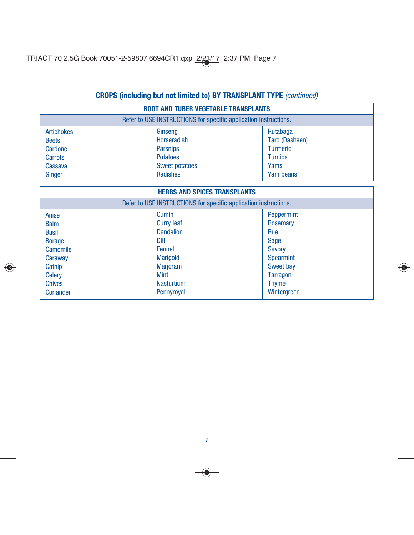## **CROPS (including but not limited to) BY TRANSPLANT TYPE** (continued)

| <b>ROOT AND TUBER VEGETABLE TRANSPLANTS</b>                                                                                           |                                                                                                                                                          |                                                                                                                                                  |  |  |
|---------------------------------------------------------------------------------------------------------------------------------------|----------------------------------------------------------------------------------------------------------------------------------------------------------|--------------------------------------------------------------------------------------------------------------------------------------------------|--|--|
| Refer to USE INSTRUCTIONS for specific application instructions.                                                                      |                                                                                                                                                          |                                                                                                                                                  |  |  |
| <b>Artichokes</b><br><b>Beets</b><br>Cardone<br>Carrots                                                                               | Ginseng<br><b>Horseradish</b><br><b>Parsnips</b><br><b>Potatoes</b>                                                                                      | Rutabaga<br>Taro (Dasheen)<br><b>Turmeric</b><br><b>Turnips</b>                                                                                  |  |  |
| Cassava<br>Ginger                                                                                                                     | <b>Sweet potatoes</b><br><b>Radishes</b>                                                                                                                 | Yams<br>Yam beans                                                                                                                                |  |  |
| <b>HERBS AND SPICES TRANSPLANTS</b>                                                                                                   |                                                                                                                                                          |                                                                                                                                                  |  |  |
| Refer to USE INSTRUCTIONS for specific application instructions.                                                                      |                                                                                                                                                          |                                                                                                                                                  |  |  |
| Anise<br><b>Balm</b><br><b>Basil</b><br><b>Borage</b><br>Camomile<br>Caraway<br>Catnip<br><b>Celery</b><br><b>Chives</b><br>Coriander | Cumin<br><b>Curry leaf</b><br><b>Dandelion</b><br>Dill<br>Fennel<br><b>Marigold</b><br><b>Marjoram</b><br><b>Mint</b><br><b>Nasturtium</b><br>Pennyroyal | Peppermint<br>Rosemary<br>Rue<br><b>Sage</b><br><b>Savory</b><br><b>Spearmint</b><br>Sweet bay<br><b>Tarragon</b><br><b>Thyme</b><br>Wintergreen |  |  |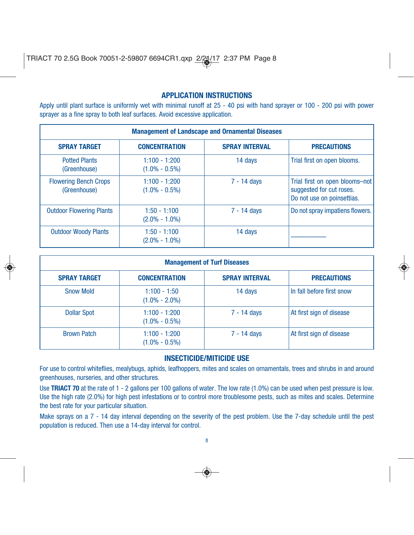### **APPLICATION INSTRUCTIONS**

Apply until plant surface is uniformly wet with minimal runoff at 25 - 40 psi with hand sprayer or 100 - 200 psi with power sprayer as a fine spray to both leaf surfaces. Avoid excessive application.

| <b>Management of Landscape and Ornamental Diseases</b> |                                      |                       |                                                                                          |
|--------------------------------------------------------|--------------------------------------|-----------------------|------------------------------------------------------------------------------------------|
| <b>SPRAY TARGET</b>                                    | <b>CONCENTRATION</b>                 | <b>SPRAY INTERVAL</b> | <b>PRECAUTIONS</b>                                                                       |
| <b>Potted Plants</b><br>(Greenhouse)                   | $1:100 - 1:200$<br>$(1.0\% - 0.5\%)$ | 14 days               | Trial first on open blooms.                                                              |
| <b>Flowering Bench Crops</b><br>(Greenhouse)           | $1:100 - 1:200$<br>$(1.0\% - 0.5\%)$ | $7 - 14$ days         | Trial first on open blooms-not<br>suggested for cut roses.<br>Do not use on poinsettias. |
| <b>Outdoor Flowering Plants</b>                        | $1:50 - 1:100$<br>$(2.0\% - 1.0\%)$  | 7 - 14 days           | Do not spray impatiens flowers.                                                          |
| <b>Outdoor Woody Plants</b>                            | $1:50 - 1:100$<br>$(2.0\% - 1.0\%)$  | 14 days               |                                                                                          |

|                     | <b>Management of Turf Diseases</b>   |                       |                           |  |
|---------------------|--------------------------------------|-----------------------|---------------------------|--|
| <b>SPRAY TARGET</b> | <b>CONCENTRATION</b>                 | <b>SPRAY INTERVAL</b> | <b>PRECAUTIONS</b>        |  |
| <b>Snow Mold</b>    | 1:100 - 1:50<br>$(1.0\% - 2.0\%)$    | 14 days               | In fall before first snow |  |
| <b>Dollar Spot</b>  | $1:100 - 1:200$<br>$(1.0\% - 0.5\%)$ | 7 - 14 days           | At first sign of disease  |  |
| <b>Brown Patch</b>  | $1:100 - 1:200$<br>$(1.0\% - 0.5\%)$ | 7 - 14 days           | At first sign of disease  |  |

### **INSECTICIDE/MITICIDE USE**

For use to control whiteflies, mealybugs, aphids, leafhoppers, mites and scales on ornamentals, trees and shrubs in and around greenhouses, nurseries, and other structures.

Use TRIACT 70 at the rate of 1 - 2 gallons per 100 gallons of water. The low rate (1.0%) can be used when pest pressure is low. Use the high rate (2.0%) for high pest infestations or to control more troublesome pests, such as mites and scales. Determine the best rate for your particular situation.

Make sprays on a 7 - 14 day interval depending on the severity of the pest problem. Use the 7-day schedule until the pest population is reduced. Then use a 14-day interval for control.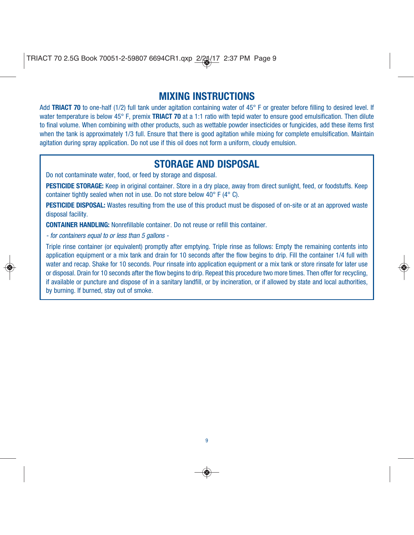# **MIXING INSTRUCTIONS**

Add TRIACT 70 to one-half (1/2) full tank under agitation containing water of 45° F or greater before filling to desired level. If water temperature is below 45° F, premix **TRIACT 70** at a 1:1 ratio with tepid water to ensure good emulsification. Then dilute to final volume. When combining with other products, such as wettable powder insecticides or fungicides, add these items first when the tank is approximately 1/3 full. Ensure that there is good agitation while mixing for complete emulsification. Maintain agitation during spray application. Do not use if this oil does not form a uniform, cloudy emulsion.

# **STORAGE AND DISPOSAL**

Do not contaminate water, food, or feed by storage and disposal.

**PESTICIDE STORAGE:** Keep in original container. Store in a dry place, away from direct sunlight, feed, or foodstuffs. Keep container tightly sealed when not in use. Do not store below 40° F (4° C).

**PESTICIDE DISPOSAL:** Wastes resulting from the use of this product must be disposed of on-site or at an approved waste disposal facility.

**CONTAINER HANDLING:** Nonrefillable container. Do not reuse or refill this container.

- for containers equal to or less than 5 gallons -

Triple rinse container (or equivalent) promptly after emptying. Triple rinse as follows: Empty the remaining contents into application equipment or a mix tank and drain for 10 seconds after the flow begins to drip. Fill the container 1/4 full with water and recap. Shake for 10 seconds. Pour rinsate into application equipment or a mix tank or store rinsate for later use or disposal. Drain for 10 seconds after the flow begins to drip. Repeat this procedure two more times. Then offer for recycling, if available or puncture and dispose of in a sanitary landfill, or by incineration, or if allowed by state and local authorities, by burning. If burned, stay out of smoke.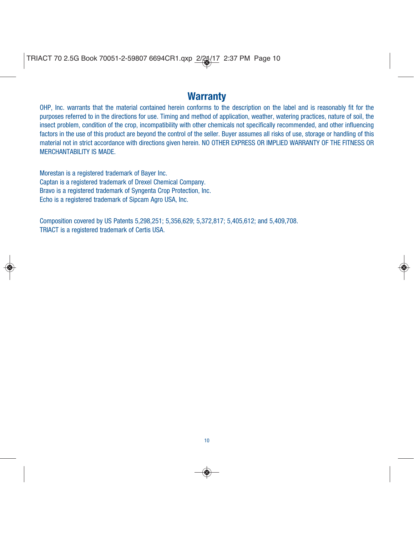# **Warranty**

OHP, Inc. warrants that the material contained herein conforms to the description on the label and is reasonably fit for the purposes referred to in the directions for use. Timing and method of application, weather, watering practices, nature of soil, the insect problem, condition of the crop, incompatibility with other chemicals not specifically recommended, and other influencing factors in the use of this product are beyond the control of the seller. Buyer assumes all risks of use, storage or handling of this material not in strict accordance with directions given herein. NO OTHER EXPRESS OR IMPLIED WARRANTY OF THE FITNESS OR MERCHANTABILITY IS MADE.

Morestan is a registered trademark of Bayer Inc. Captan is a registered trademark of Drexel Chemical Company. Bravo is a registered trademark of Syngenta Crop Protection, Inc. Echo is a registered trademark of Sipcam Agro USA, Inc.

Composition covered by US Patents 5,298,251; 5,356,629; 5,372,817; 5,405,612; and 5,409,708. TRIACT is a registered trademark of Certis USA.

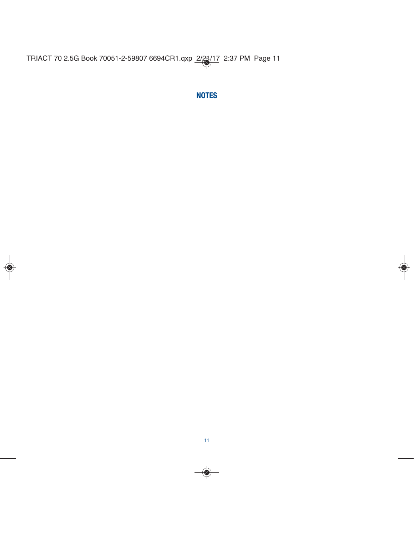**NOTES**

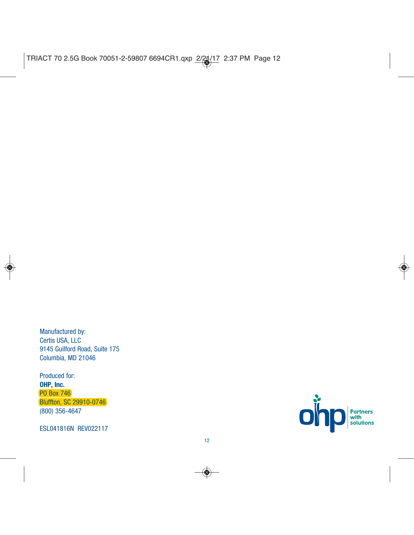Manufactured by: Certis USA, LLC 9145 Guilford Road, Suite 175 Columbia, MD 21046

Produced for: **OHP, Inc.** PO Box 746 Bluffton, SC 29910-0746 (800) 356-4647

ESL041816N REV022117